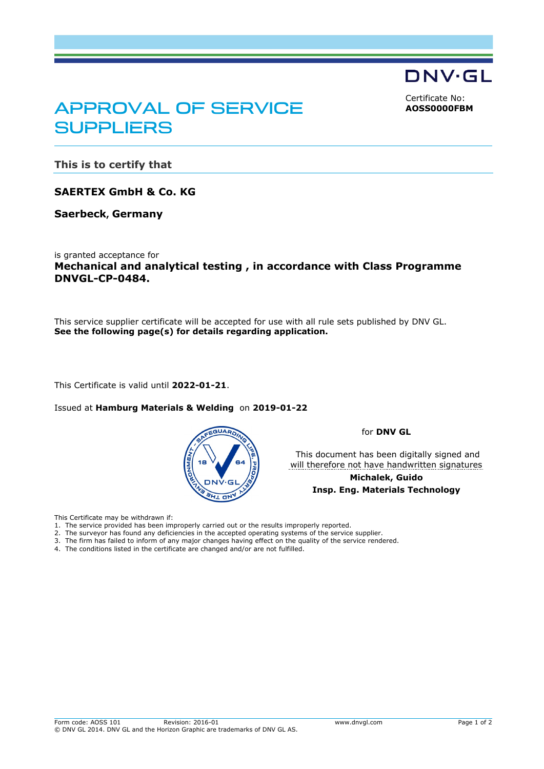DNV·GL

<span id="page-0-0"></span>Certificate No: **AOSS0000FBM**

# APPROVAL OF SERVICE **SUPPLIERS**

**This is to certify that**

**SAERTEX GmbH & Co. KG**

**Saerbeck, Germany**

is granted acceptance for **Mechanical and analytical testing , in accordance with Class Programme DNVGL-CP-0484.**

This service supplier certificate will be accepted for use with all rule sets published by DNV GL. **See the following page(s) for details regarding application.**

This Certificate is valid until **2022-01-21**.

Issued at **Hamburg Materials & Welding** on **2019-01-22** 



for **DNV GL**

 This document has been digitally signed and will therefore not have handwritten signatures

> **Michalek, Guido Insp. Eng. Materials Technology**

This Certificate may be withdrawn if:

- 1. The service provided has been improperly carried out or the results improperly reported.
- 2. The surveyor has found any deficiencies in the accepted operating systems of the service supplier.
- 3. The firm has failed to inform of any major changes having effect on the quality of the service rendered.
- 4. The conditions listed in the certificate are changed and/or are not fulfilled.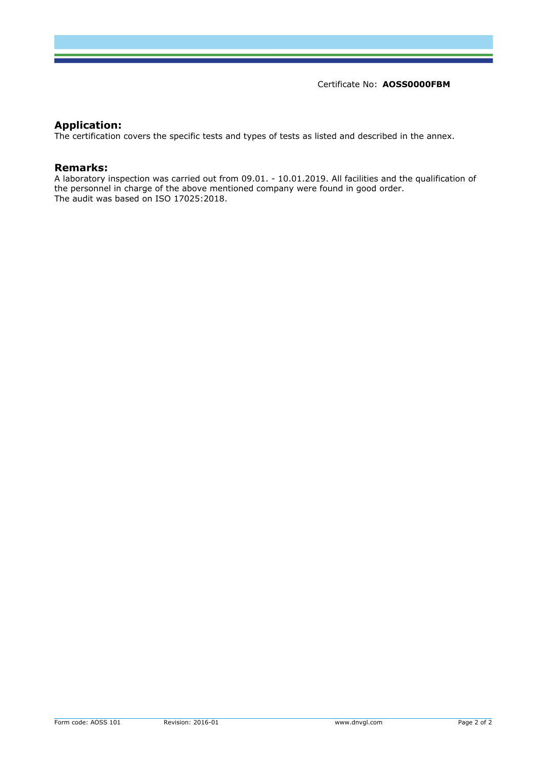Certificate No: **[AOSS0000FBM](#page-0-0)**

### **Application:**

The certification covers the specific tests and types of tests as listed and described in the annex.

### **Remarks:**

A laboratory inspection was carried out from 09.01. - 10.01.2019. All facilities and the qualification of the personnel in charge of the above mentioned company were found in good order. The audit was based on ISO 17025:2018.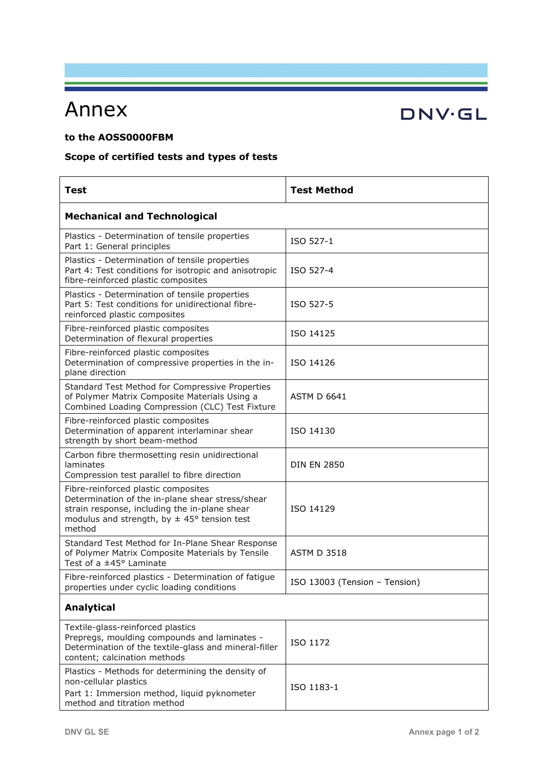# Annex

## **to the AOSS0000FBM**

## **Scope of certified tests and types of tests**

| <b>Test</b>                                                                                                                                                                                           | <b>Test Method</b>            |
|-------------------------------------------------------------------------------------------------------------------------------------------------------------------------------------------------------|-------------------------------|
| <b>Mechanical and Technological</b>                                                                                                                                                                   |                               |
| Plastics - Determination of tensile properties<br>Part 1: General principles                                                                                                                          | ISO 527-1                     |
| Plastics - Determination of tensile properties<br>Part 4: Test conditions for isotropic and anisotropic<br>fibre-reinforced plastic composites                                                        | ISO 527-4                     |
| Plastics - Determination of tensile properties<br>Part 5: Test conditions for unidirectional fibre-<br>reinforced plastic composites                                                                  | ISO 527-5                     |
| Fibre-reinforced plastic composites<br>Determination of flexural properties                                                                                                                           | ISO 14125                     |
| Fibre-reinforced plastic composites<br>Determination of compressive properties in the in-<br>plane direction                                                                                          | ISO 14126                     |
| Standard Test Method for Compressive Properties<br>of Polymer Matrix Composite Materials Using a<br>Combined Loading Compression (CLC) Test Fixture                                                   | <b>ASTM D 6641</b>            |
| Fibre-reinforced plastic composites<br>Determination of apparent interlaminar shear<br>strength by short beam-method                                                                                  | ISO 14130                     |
| Carbon fibre thermosetting resin unidirectional<br>laminates<br>Compression test parallel to fibre direction                                                                                          | <b>DIN EN 2850</b>            |
| Fibre-reinforced plastic composites<br>Determination of the in-plane shear stress/shear<br>strain response, including the in-plane shear<br>modulus and strength, by $\pm$ 45° tension test<br>method | ISO 14129                     |
| Standard Test Method for In-Plane Shear Response<br>of Polymer Matrix Composite Materials by Tensile<br>Test of a ±45° Laminate                                                                       | <b>ASTM D 3518</b>            |
| Fibre-reinforced plastics - Determination of fatigue<br>properties under cyclic loading conditions                                                                                                    | ISO 13003 (Tension - Tension) |
| <b>Analytical</b>                                                                                                                                                                                     |                               |
| Textile-glass-reinforced plastics<br>Prepregs, moulding compounds and laminates -<br>Determination of the textile-glass and mineral-filler<br>content; calcination methods                            | ISO 1172                      |
| Plastics - Methods for determining the density of<br>non-cellular plastics<br>Part 1: Immersion method, liquid pyknometer<br>method and titration method                                              | ISO 1183-1                    |

# **DNV·GL**